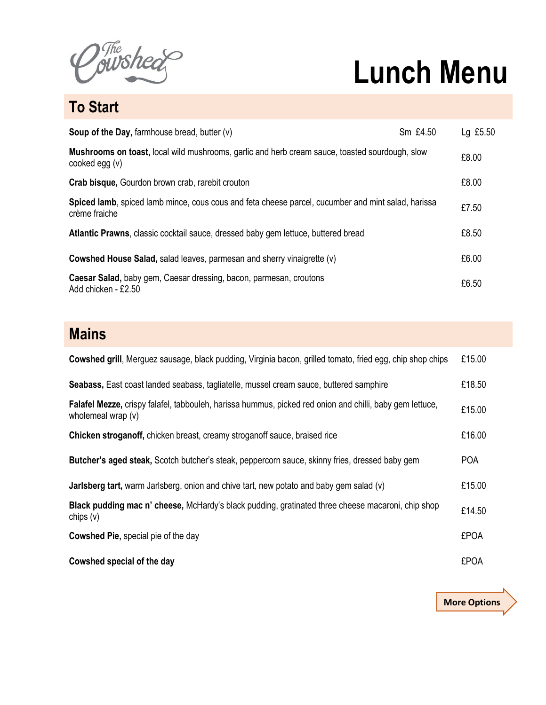The sheer

## **Lunch Menu**

**To Start**

| <b>Soup of the Day, farmhouse bread, butter (v)</b>                                                                     | Sm £4.50 | Lg £5.50 |
|-------------------------------------------------------------------------------------------------------------------------|----------|----------|
| <b>Mushrooms on toast, local wild mushrooms, garlic and herb cream sauce, toasted sourdough, slow</b><br>cooked egg (v) |          | £8.00    |
| <b>Crab bisque, Gourdon brown crab, rarebit crouton</b>                                                                 |          | £8.00    |
| Spiced lamb, spiced lamb mince, cous cous and feta cheese parcel, cucumber and mint salad, harissa<br>crème fraiche     |          | £7.50    |
| Atlantic Prawns, classic cocktail sauce, dressed baby gem lettuce, buttered bread                                       |          | £8.50    |
| <b>Cowshed House Salad, salad leaves, parmesan and sherry vinaigrette (v)</b>                                           |          | £6.00    |
| Caesar Salad, baby gem, Caesar dressing, bacon, parmesan, croutons<br>Add chicken - £2.50                               |          | £6.50    |

## **Mains**

| <b>Cowshed grill, Merguez sausage, black pudding, Virginia bacon, grilled tomato, fried egg, chip shop chips</b>                 | £15.00      |
|----------------------------------------------------------------------------------------------------------------------------------|-------------|
| Seabass, East coast landed seabass, tagliatelle, mussel cream sauce, buttered samphire                                           | £18.50      |
| Falafel Mezze, crispy falafel, tabbouleh, harissa hummus, picked red onion and chilli, baby gem lettuce,<br>wholemeal wrap $(v)$ | £15.00      |
| <b>Chicken stroganoff, chicken breast, creamy stroganoff sauce, braised rice</b>                                                 | £16.00      |
| Butcher's aged steak, Scotch butcher's steak, peppercorn sauce, skinny fries, dressed baby gem                                   | <b>POA</b>  |
| Jarlsberg tart, warm Jarlsberg, onion and chive tart, new potato and baby gem salad (v)                                          | £15.00      |
| Black pudding mac n' cheese, McHardy's black pudding, gratinated three cheese macaroni, chip shop<br>chips $(v)$                 | £14.50      |
| <b>Cowshed Pie, special pie of the day</b>                                                                                       | <b>£POA</b> |
| Cowshed special of the day                                                                                                       | <b>£POA</b> |

**More Options**